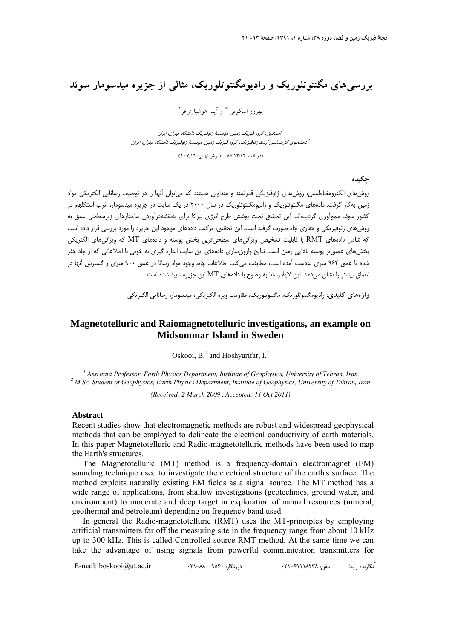## **بررسيهاي مگنتوتلوريك و راديومگنتوتلوريك، مثالي از جزيره ميدسومار سوئد**

بهروز اسكويي<sup> ۱\*</sup> و آيدا هوشياريفر<sup>۲</sup>

استاديار، گروه فيزيك زمين، مؤسسة ژئوفيزيك دانشگاه تهران، ايران <sup>1</sup> دانشجوي كارشناسي ارشد ژئوفيزيك، گروه فيزيك زمين، مؤسسة ژئوفيزيك دانشگاه تهران، ايران <sup>2</sup>

(دريافت: ٨٧/١٢/١٢ ، پذيرش نهايي: ٩٠/٧/١٩)

**چكيده** 

روشهاي الكترومغناطيسي، روشهاي ژئوفيزيكي قدرتمند و متداولي هستند كه ميتوان آنها را در توصيف رسانايي الكتريكي مواد زمين بهكار گرفت. دادههاي مگنتوتلوريك و راديومگنتوتلوريك در سال 2000 در يك سايت در جزيره ميدسومار، غرب استكلهم در كشور سوئد جمعآوري گرديدهاند. اين تحقيق تحت پوشش طرح انرژي بيركا براي بهنقشهدرآوردن ساختارهاي زيرسطحي عمق به روشهاي ژئوفيزيكي و حفاري چاه صورت گرفته است. اين تحقيق، تركيب دادههاي موجود اين جزيره را مورد بررسي قرار داده است كه شامل دادههاي RMT با قابليت تشخيص ويژگيهاي سطحيترين بخش پوسته و دادههاي MT كه ويژگيهاي الكتريكي بخشهاي عميقتر پوسته بالايي زمين است. نتايج وارونسازي دادههاي اين سايت اندازه گيري به خوبي با اطلاعاتي كه از چاه حفر شده تا عمق 964 متري بهدست آمده است، مطابقت ميكند. اطلاعات چاه، وجود مواد رسانا در عمق 900 متري و گسترش آنها در اعماق بيشتر را نشان ميدهد. اين لاية رسانا به وضوح با دادههاي MT اين جزيره تاييد شده است.

**واژههاي كليدي:** راديومگنتوتلوريك، مگنتوتلوريك، مقاومت ويژه الكتريكي، ميدسومار، رسانايي الكتريكي

## **Magnetotelluric and Raiomagnetotelluric investigations, an example on Midsommar Island in Sweden**

Oskooi,  $B<sup>1</sup>$  and Hoshyarifar, I.<sup>2</sup>

<sup>1</sup> Assistant Professor, Earth Physics Department, Institute of Geophysics, University of Tehran, Iran <sup>2</sup> M Se, Student of Ceophysics, Earth Physics Department, Institute of Ceophysics, University of Tehran  *M.Sc. Student of Geophysics, Earth Physics Department, Institute of Geophysics, University of Tehran, Iran* 

*(Received: 2 March 2009 , Accepted: 11 Oct 2011)* 

## **Abstract**

Recent studies show that electromagnetic methods are robust and widespread geophysical methods that can be employed to delineate the electrical conductivity of earth materials. In this paper Magnetotelluric and Radio-magnetotelluric methods have been used to map the Earth's structures.

The Magnetotelluric (MT) method is a frequency-domain electromagnet (EM) sounding technique used to investigate the electrical structure of the earth's surface. The method exploits naturally existing EM fields as a signal source. The MT method has a wide range of applications, from shallow investigations (geotechnics, ground water, and environment) to moderate and deep target in exploration of natural resources (mineral, geothermal and petroleum) depending on frequency band used.

In general the Radio-magnetotelluric (RMT) uses the MT-principles by employing artificial transmitters far off the measuring site in the frequency range from about 10 kHz up to 300 kHz. This is called Controlled source RMT method. At the same time we can take the advantage of using signals from powerful communication transmitters for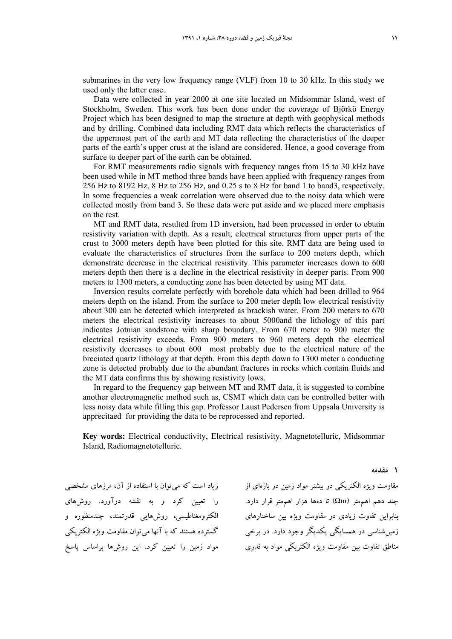submarines in the very low frequency range (VLF) from 10 to 30 kHz. In this study we used only the latter case.

Data were collected in year 2000 at one site located on Midsommar Island, west of Stockholm, Sweden. This work has been done under the coverage of Björkö Energy Project which has been designed to map the structure at depth with geophysical methods and by drilling. Combined data including RMT data which reflects the characteristics of the uppermost part of the earth and MT data reflecting the characteristics of the deeper parts of the earth's upper crust at the island are considered. Hence, a good coverage from surface to deeper part of the earth can be obtained.

For RMT measurements radio signals with frequency ranges from 15 to 30 kHz have been used while in MT method three bands have been applied with frequency ranges from 256 Hz to 8192 Hz, 8 Hz to 256 Hz, and 0.25 s to 8 Hz for band 1 to band3, respectively. In some frequencies a weak correlation were observed due to the noisy data which were collected mostly from band 3. So these data were put aside and we placed more emphasis on the rest.

MT and RMT data, resulted from 1D inversion, had been processed in order to obtain resistivity variation with depth. As a result, electrical structures from upper parts of the crust to 3000 meters depth have been plotted for this site. RMT data are being used to evaluate the characteristics of structures from the surface to 200 meters depth, which demonstrate decrease in the electrical resistivity. This parameter increases down to 600 meters depth then there is a decline in the electrical resistivity in deeper parts. From 900 meters to 1300 meters, a conducting zone has been detected by using MT data.

Inversion results correlate perfectly with borehole data which had been drilled to 964 meters depth on the island. From the surface to 200 meter depth low electrical resistivity about 300 can be detected which interpreted as brackish water. From 200 meters to 670 meters the electrical resistivity increases to about 5000and the lithology of this part indicates Jotnian sandstone with sharp boundary. From 670 meter to 900 meter the electrical resistivity exceeds. From 900 meters to 960 meters depth the electrical resistivity decreases to about 600 most probably due to the electrical nature of the breciated quartz lithology at that depth. From this depth down to 1300 meter a conducting zone is detected probably due to the abundant fractures in rocks which contain fluids and the MT data confirms this by showing resistivity lows.

In regard to the frequency gap between MT and RMT data, it is suggested to combine another electromagnetic method such as, CSMT which data can be controlled better with less noisy data while filling this gap. Professor Laust Pedersen from Uppsala University is apprecitaed for providing the data to be reprocessed and reported.

**Key words:** Electrical conductivity, Electrical resistivity, Magnetotelluric, Midsommar Island, Radiomagnetotelluric.

زياد است كه ميتوان با استفاده از آن، مرزهاي مشخصي را تعيين كرد و به نقشه درآورد. روشهاي الكترومغناطيسي، روشهايي قدرتمند، چندمنظوره و گسترده هستند كه با آنها ميتوان مقاومت ويژه الكتريكي مواد زمين را تعيين كرد. اين روشها براساس پاسخ

مقاومت ويژه الكتريكي در بيشتر مواد زمين در بازهاي از  $\zeta$ جند دهم اهممتر ( $\Omega$ m) تا دهها هزار اهم تر قرار دارد. بنابراين تفاوت زيادي در مقاومت ويژه بين ساختارهاي زمينشناسي در همسايگي يكديگر وجود دارد. در برخي مناطق تفاوت بين مقاومت ويژه الكتريكي مواد به قدري

**1 مقدمه**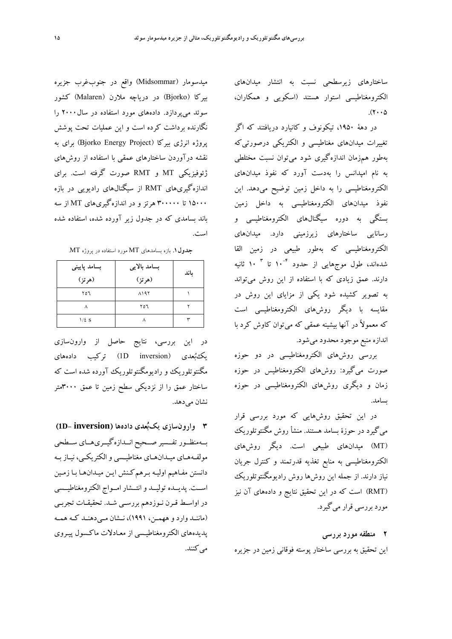ساختارهاي زيرسطحي نسبت به انتشار ميدانهاي الكترومغناطيسي استوار هستند (اسكويي و همكاران،  $(7 \cdot \cdot \Delta)$ 

در دهة ،1950 تيكونوف و كانيارد دريافتند كه اگر تغييرات ميدانهاي مغناطيسي و الكتريكي درصورتيكه بهطور همزمان اندازهگيري شود ميتوان نسبت مختلطي به نام امپدانس را بهدست آورد كه نفوذ ميدانهاي الكترومغناطيسي را به داخل زمين توضيح ميدهد. اين نفوذ ميدانهاي الكترومغناطيسي به داخل زمين بستگي به دوره سيگنالهاي الكترومغناطيسي و رسانايي ساختارهاي زيرزميني دارد. ميدانهاي الكترومغناطيسي كه بهطور طبيعي در زمين القا 10 ثانيه <sup>3</sup> 10 تا -4 شدهاند، طول موجهايي از حدود دارند. عمق زيادي كه با استفاده از اين روش ميتواند به تصوير كشيده شود يكي از مزاياي اين روش در مقايسه با ديگر روشهاي الكترومغناطيسي است كه معمولاً در آنها بيشينه عمقي كه ميتوان كاوش كرد با اندازه منبع موجود محدود ميشود.

بررسي روشهاي الكترومغناطيسي در دو حوزه صورت ميگيرد: روشهاي الكترومغناطيس در حوزه زمان و ديگري روشهاي الكترومغناطيسي در حوزه بسامد.

در اين تحقيق روشهايي كه مورد بررسي قرار ميگيرد در حوزة بسامد هستند. منشأ روش مگنتوتلوريك (MT (ميدانهاي طبيعي است. ديگر روشهاي الكترومغناطيسي به منابع تغذيه قدرتمند و كنترل جريان نياز دارند. از جمله اين روشها روش راديومگنتوتلوريك (RMT (است كه در اين تحقيق نتايج و دادههاي آن نيز مورد بررسي قرار ميگيرد.

**2 منطقه مورد بررسي** 

اين تحقيق به بررسي ساختار پوسته فوقاني زمين در جزيره

ميدسومار (Midsommar) واقع در جنوبغرب جزيره بيركا (Bjorko (در درياچه ملارن (Malaren (كشور سوئد ميپردازد. دادههاي مورد استفاده در سال2000 را نگارنده برداشت كرده است و اين عمليات تحت پوشش پروژه انرژي بيركا (Project Energy Bjorko (براي به نقشه درآوردن ساختارهاي عمقي با استفاده از روشهاي ژئوفيزيكي MT و RMT صورت گرفته است. براي اندازهگيريهاي RMT از سيگنالهاي راديويي در بازه 15000 تا 300000 هرتز و در اندازهگيريهاي MT از سه باند بسامدي كه در جدول زير آورده شده، استفاده شده است.

**جدول.1** بازه بسامدهاي MT مورد استفاده در پروژه MT.

| بسامد پایینی<br>(هرتز) | بسامد بالايي<br>(هرتز) | ىاند |
|------------------------|------------------------|------|
| ۲٥٦                    | <b>A197</b>            |      |
|                        | ۲٥٦                    |      |
| $1/\mathcal{E}$ S      |                        |      |

در اين بررسي، نتايج حاصل از وارونسازي يكبعدي (inversion D1 (تركيب دادههاي مگنتوتلوريك و راديومگنتوتلوريك آورده شده است كه ساختار عمق را از نزديكي سطح زمين تا عمق 3000متر نشان ميدهد.

**3 وارونسازي يكبعدي دادهها (inversion -D1 (** بــهمنظــور تفــسير صــحيح انــدازهگيــريهــاي ســطحي مولفـههـاي ميـدانهـاي مغناطيـسي والكتريكـي، نيـاز بـه دانستن مفـاهيم اوليـه بـرهم كـنش ايـن ميـدان هـا بـا زمـين اســت. پديــده توليــد وانتــشار امــواج الكترومغناطيــسي در اواسـط قـرن نـوزدهم بررسـي شـد. تحقيقـات تجربـي (ماننــد وارد و ههمــن، 1991)، نــشان مــيدهنــد كــه همــه پديدههاي الكترومغناطيـسي از معـادلات ماكـسول پيـروي مي كنند.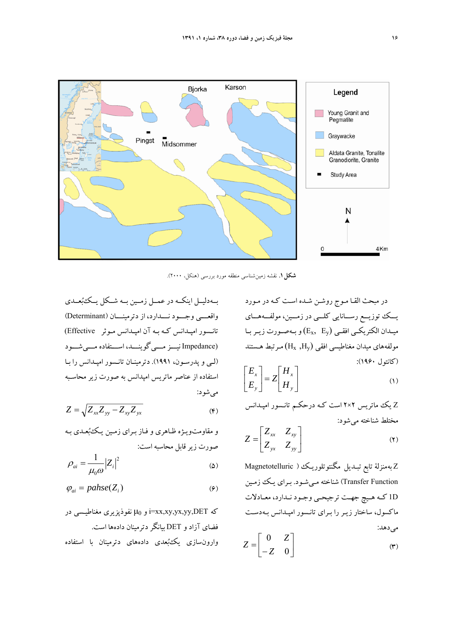

**شكل.1** نقشه زمينشناسي منطقه مورد بررسي (هنكل، 2000).

بــهدليــل اينكــه در عمــل زمــين بــه شــكل يــكبعــدي واقعـــي وجـــود نـــدارد، از دترمينـــان (Determinant ( تانـسور امپـدانس كـه بـه آن امپـدانس مـوثر Effective( (Impedance نيـــزمـــيگوينـــد، اســـتفاده مـــيشـــود (لـي و پدرسـون، 1991). دترمينـان تانـسور امپـدانس را بـا استفاده از عناصر ماتريس امپدانس به صورت زير محاسـبه ميشود:

$$
Z = \sqrt{Z_{xx} Z_{yy} - Z_{xy} Z_{yx}}
$$
 (6)

و مقاومتويـژه ظـاهري و فـاز بـراي زمـين يـك بعـدي بـه صورت زيرقابل محاسبه است:

$$
\rho_{ai} = \frac{1}{\mu_0 \omega} |Z_i|^2 \tag{2}
$$

$$
\varphi_{ai} = pahse(Z_i) \tag{9}
$$

 در مغناطيـسي نفوذپزيري μ<sup>0</sup> و i=xx,xy,yx,yy,DET كه فضاي آزاد و DET بيانگردترمينان دادهها است. وارونسازي يكبعدي دادههاي دترمينان با استفاده

در مبحث القـا مـوج روشـن شـده اسـت كـه در مـورد يـــك توزيـــع رســـانايي كلـــي در زمـــين، مولفـــههـــاي ميـدان الكتريكــي افقــي (Ey ,Ex (و بـ هصــورت زيــربــا مولفههاي ميدان مغناطيسي افقي  $(\rm H_x ~, \rm H_y)$  مـرتبط هـستند (كانتول 1960):

$$
\begin{bmatrix} E_x \\ E_y \end{bmatrix} = Z \begin{bmatrix} H_x \\ H_y \end{bmatrix} \tag{1}
$$

Z يك ماتريس 2×2 است كـه درحكـم تانـسور امپـدانس مختلط شناخته ميشود:

$$
Z = \begin{bmatrix} Z_{xx} & Z_{xy} \\ Z_{yx} & Z_{yy} \end{bmatrix}
$$
 (7)

Z بهمنزلة تابع تبـديل مگنتوتلوريـك ( Magnetotelluric Function Transfer (شناخته مـيشـود. بـراي يـك زمـين D1 كــه هــيچ جهــت ترجيحــي وجــود نــدارد، معــادلات ماكسول، ساختار زيـر را بـراي تانـسور امپـدانس بـهدسـت مي دهد:

$$
Z = \begin{bmatrix} 0 & Z \\ -Z & 0 \end{bmatrix} \tag{7}
$$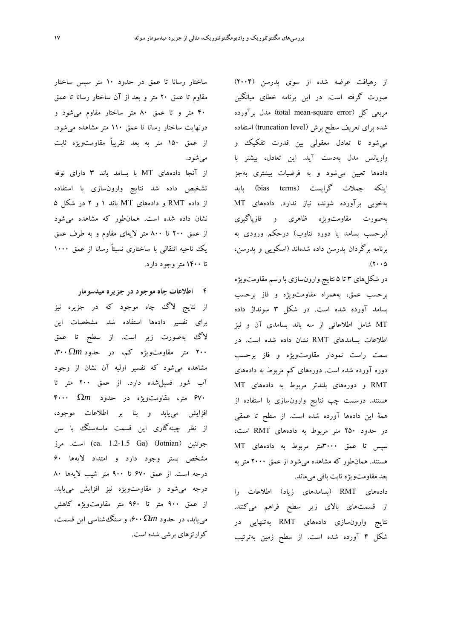از رهيافت عرضه شده از سوي پدرسن (2004) صورت گرفته است. در اين برنامه خطاي ميانگين مربعي كل (error square-mean total (مدل برآورده شده براي تعريف سطح برش (level truncation (استفاده ميشود تا تعادل معقولي بين قدرت تفكيك و واريانس مدل بهدست آيد. اين تعادل، بيشتر با دادهها تعيين ميشود و به فرضيات بيشتري بهجز اينكه جملات گرايست (bias terms) بايد بهخوبي برآورده شوند، نياز ندارد. دادههاي MT بهصورت مقاومتويژه ظاهري و فازپاگيري (برحسب بسامد يا دوره تناوب) درحكم ورودي به برنامه برگردان پدرسن داده شدهاند (اسكويي و پدرسن،  $(7 \cdot 0)$ 

در شكلهاي ۳ تا ۵ نتايج وارونسازي با رسم مقاومتويژه برحسب عمق، بههمراه مقاومتويژه و فاز برحسب بسامد آورده شده است. در شكل 3 سونداژ داده MT شامل اطلاعاتي از سه باند بسامدي آن و نيز اطلاعات بسامدهاي RMT نشان داده شده است. در سمت راست نمودار مقاومتويژه و فاز برحسب دوره آورده شده است. دورههاي كم مربوط به دادههاي RMT و دورههاي بلندتر مربوط به دادههاي MT هستند. درسمت چپ نتايج وارونسازي با استفاده از همة اين دادهها آورده شده است. از سطح تا عمقي در حدود 250 متر مربوط به دادههاي RMT است، سپس تا عمق 3000متر مربوط به دادههاي MT هستند. همانطور كه مشاهده ميشود از عمق 2000 متر به بعد مقاومتويژه ثابت باقي ميماند.

دادههاي RMT) بسامدهاي زياد) اطلاعات را از قسمتهاي بالاي زير سطح فراهم ميكنند. نتايج وارونسازي دادههاي RMT بهتنهايي در شكل 4 آورده شده است. از سطح زمين بهترتيب

ساختار رسانا تا عمق در حدود 10 متر سپس ساختار مقاوم تا عمق 20 متر و بعد از آن ساختار رسانا تا عمق 40 متر و تا عمق 80 متر ساختار مقاوم ميشود و درنهايت ساختار رسانا تا عمق 110 متر مشاهده ميشود. از عمق 150 متر به بعد تقريباً مقاومتويژه ثابت ميشود.

از آنجا دادههاي MT با بسامد باند 3 داراي نوفه تشخيص داده شد نتايج وارونسازي با استفاده از داده RMT و دادههاي MT باند 1 و 2 در شكل 5 نشان داده شده است. همانطور كه مشاهده ميشود از عمق 200 تا 800 متر لايهاي مقاوم و به طرف عمق يك ناحيه انتقالي با ساختاري نسبتاً رسانا از عمق 1000 تا 1400 متروجود دارد.

**4 اطلاعات چاه موجود در جزيره ميدسومار** 

از نتايج لاگ چاه موجود كه در جزيره نيز براي تفسير دادهها استفاده شد. مشخصات اين لاگ بهصورت زير است. از سطح تا عمق 200 متر مقاومتويژه كم، در حدود Ω*m*،300 مشاهده ميشود كه تفسير اوليه آن نشان از وجود آب شور فسيلشده دارد. از عمق 200 متر تا 670 متر، مقاومتويژه در حدود Ω*m* 4000 افزايش مييابد و بنا بر اطلاعات موجود، از نظر چينهگاري اين قسمت ماسهسنگ با سن جوتنين (Jotnian) (ca. 1.2-1.5 Ga) است. مرز مشخص بستر وجود دارد و امتداد لايهها 60 درجه است. از عمق 670 تا 900 متر شيب لايهها 80 درجه ميشود و مقاومتويژه نيز افزايش مييابد. از عمق 900 متر تا 960 متر مقاومتويژه كاهش مييابد، در حدود Ω*m*،600 و سنگشناسي اين قسمت، كوارتزهاي برشي شده است.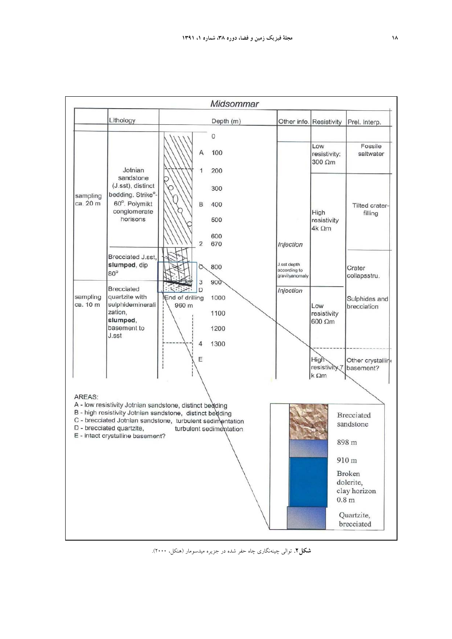

**شكل.2** توالي چينهنگاري چاه حفر شده در جزيره ميدسومار (هنكل، 2000) .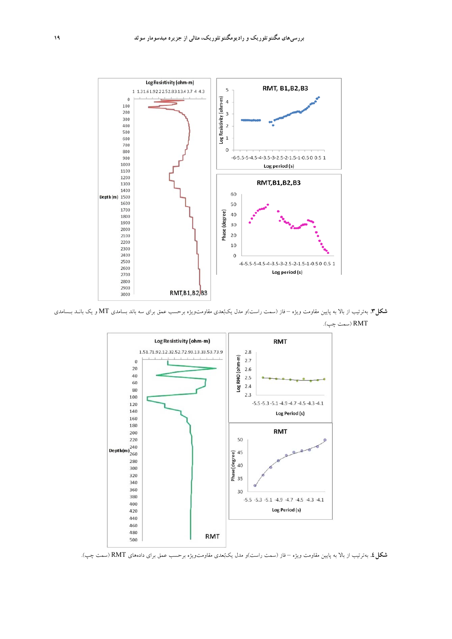

**شكل.3** بهترتيب از بالا به پايين مقاومت ويژه – فاز (سمت راست)و مدل يكبعدي مقاومتويژه برحسب عمق براي سه باند بسامدي MT و يك بانـد بـسامدي RMT) سمت چپ).



**شكل.4** بهترتيب از بالا به پايين مقاومت ويژه – فاز (سمت راست)و مدل يكبعدي مقاومتويژه برحسب عمق براي دادههاي RMT) سمت چپ).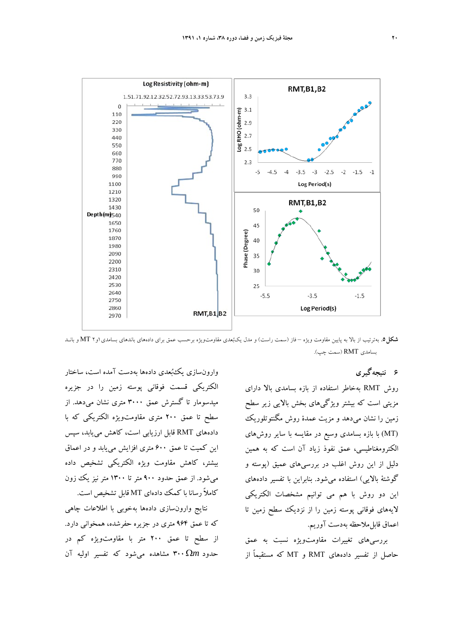

**شكل.5** بهترتيب از بالا به پايين مقاومت ويژه – فاز (سمت راست) <sup>و</sup> مدل يكبعدي مقاومتويژه برحسب عمق براي دادههاي باندهاي بسامدي1و<sup>2</sup> MT <sup>و</sup> بانـد بسامدي RMT) سمت چپ).

**6 نتيجهگيري** 

روش RMT بهخاطر استفاده از بازه بسامدي بالا داراي مزيتي است كه بيشتر ويژگيهاي بخش بالايي زير سطح زمين را نشان ميدهد و مزيت عمدة روش مگنتوتلوريك (MT (با بازه بسامدي وسيع در مقايسه با ساير روشهاي الكترومغناطيسي، عمق نفوذ زياد آن است كه به همين دليل از اين روش اغلب در بررسيهاي عميق (پوسته و گوشتة بالايي) استفاده ميشود. بنابراين با تفسير دادههاي اين دو روش با هم مي توانيم مشخصات الكتريكي لايههاي فوقاني پوسته زمين را از نزديك سطح زمين تا اعماق قابلملاحظه بهدست آوريم.

بررسيهاي تغييرات مقاومتويژه نسبت به عمق حاصل از تفسير دادههاي RMT و MT كه مستقيماً از

وارونسازي يكبعدي دادهها بهدست آمده است، ساختار الكتريكي قسمت فوقاني پوسته زمين را در جزيره ميدسومار تا گسترش عمق 3000 متري نشان ميدهد. از سطح تا عمق 200 متري مقاومتويژه الكتريكي كه با دادههاي RMT قابل ارزيابي است، كاهش مييابد، سپس اين كميت تا عمق 600 متري افزايش مييابد و در اعماق بيشتر، كاهش مقاومت ويژه الكتريكي تشخيص داده ميشود. از عمق حدود 900 متر تا 1300 متر نيز يك زون كاملاً رسانا با كمك دادهاي MT قابل تشخيص است.

نتايج وارونسازي دادهها بهخوبي با اطلاعات چاهي كه تا عمق 964 متري در جزيره حفرشده، همخواني دارد. از سطح تا عمق 200 متر با مقاومتويژه كم در حدود Ω*m*300 مشاهده ميشود كه تفسير اوليه آن